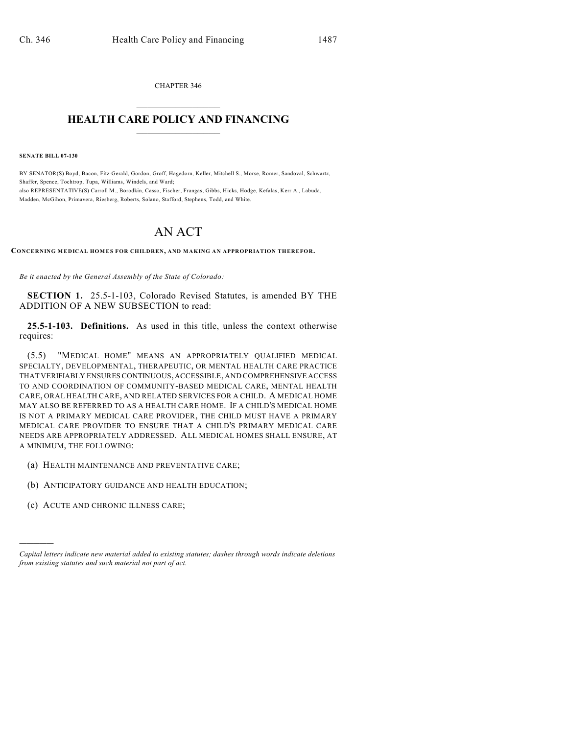CHAPTER 346  $\overline{\phantom{a}}$  . The set of the set of the set of the set of the set of the set of the set of the set of the set of the set of the set of the set of the set of the set of the set of the set of the set of the set of the set o

## **HEALTH CARE POLICY AND FINANCING**  $\_$   $\_$   $\_$   $\_$   $\_$   $\_$   $\_$   $\_$

**SENATE BILL 07-130**

BY SENATOR(S) Boyd, Bacon, Fitz-Gerald, Gordon, Groff, Hagedorn, Keller, Mitchell S., Morse, Romer, Sandoval, Schwartz, Shaffer, Spence, Tochtrop, Tupa, Williams, Windels, and Ward; also REPRESENTATIVE(S) Carroll M., Borodkin, Casso, Fischer, Frangas, Gibbs, Hicks, Hodge, Kefalas, Kerr A., Labuda, Madden, McGihon, Primavera, Riesberg, Roberts, Solano, Stafford, Stephens, Todd, and White.

## AN ACT

**CONCERNING MEDICAL HOMES FOR CHILDREN, AND MAKING AN APPROPRIATION THEREFOR.**

*Be it enacted by the General Assembly of the State of Colorado:*

**SECTION 1.** 25.5-1-103, Colorado Revised Statutes, is amended BY THE ADDITION OF A NEW SUBSECTION to read:

**25.5-1-103. Definitions.** As used in this title, unless the context otherwise requires:

(5.5) "MEDICAL HOME" MEANS AN APPROPRIATELY QUALIFIED MEDICAL SPECIALTY, DEVELOPMENTAL, THERAPEUTIC, OR MENTAL HEALTH CARE PRACTICE THAT VERIFIABLY ENSURES CONTINUOUS, ACCESSIBLE, AND COMPREHENSIVE ACCESS TO AND COORDINATION OF COMMUNITY-BASED MEDICAL CARE, MENTAL HEALTH CARE, ORAL HEALTH CARE, AND RELATED SERVICES FOR A CHILD. A MEDICAL HOME MAY ALSO BE REFERRED TO AS A HEALTH CARE HOME. IF A CHILD'S MEDICAL HOME IS NOT A PRIMARY MEDICAL CARE PROVIDER, THE CHILD MUST HAVE A PRIMARY MEDICAL CARE PROVIDER TO ENSURE THAT A CHILD'S PRIMARY MEDICAL CARE NEEDS ARE APPROPRIATELY ADDRESSED. ALL MEDICAL HOMES SHALL ENSURE, AT A MINIMUM, THE FOLLOWING:

- (a) HEALTH MAINTENANCE AND PREVENTATIVE CARE;
- (b) ANTICIPATORY GUIDANCE AND HEALTH EDUCATION;
- (c) ACUTE AND CHRONIC ILLNESS CARE;

)))))

*Capital letters indicate new material added to existing statutes; dashes through words indicate deletions from existing statutes and such material not part of act.*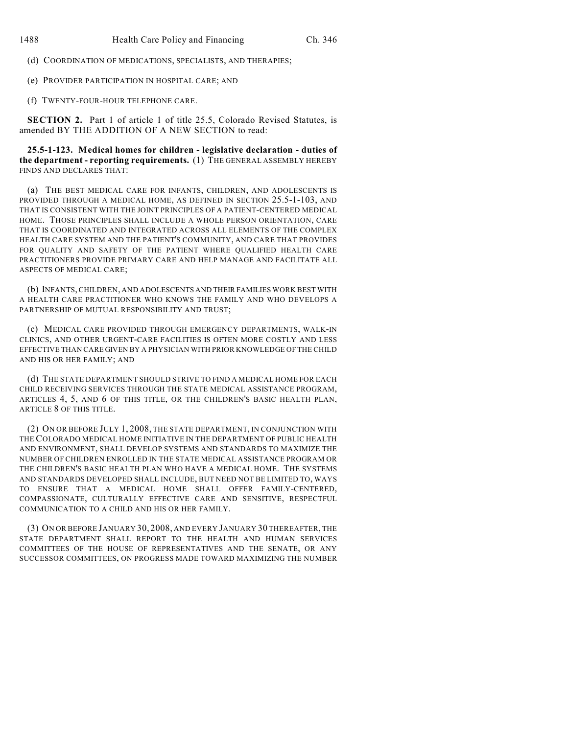(d) COORDINATION OF MEDICATIONS, SPECIALISTS, AND THERAPIES;

(e) PROVIDER PARTICIPATION IN HOSPITAL CARE; AND

(f) TWENTY-FOUR-HOUR TELEPHONE CARE.

**SECTION 2.** Part 1 of article 1 of title 25.5, Colorado Revised Statutes, is amended BY THE ADDITION OF A NEW SECTION to read:

**25.5-1-123. Medical homes for children - legislative declaration - duties of the department - reporting requirements.** (1) THE GENERAL ASSEMBLY HEREBY FINDS AND DECLARES THAT:

(a) THE BEST MEDICAL CARE FOR INFANTS, CHILDREN, AND ADOLESCENTS IS PROVIDED THROUGH A MEDICAL HOME, AS DEFINED IN SECTION 25.5-1-103, AND THAT IS CONSISTENT WITH THE JOINT PRINCIPLES OF A PATIENT-CENTERED MEDICAL HOME. THOSE PRINCIPLES SHALL INCLUDE A WHOLE PERSON ORIENTATION, CARE THAT IS COORDINATED AND INTEGRATED ACROSS ALL ELEMENTS OF THE COMPLEX HEALTH CARE SYSTEM AND THE PATIENT'S COMMUNITY, AND CARE THAT PROVIDES FOR QUALITY AND SAFETY OF THE PATIENT WHERE QUALIFIED HEALTH CARE PRACTITIONERS PROVIDE PRIMARY CARE AND HELP MANAGE AND FACILITATE ALL ASPECTS OF MEDICAL CARE;

(b) INFANTS, CHILDREN, AND ADOLESCENTS AND THEIR FAMILIES WORK BEST WITH A HEALTH CARE PRACTITIONER WHO KNOWS THE FAMILY AND WHO DEVELOPS A PARTNERSHIP OF MUTUAL RESPONSIBILITY AND TRUST;

(c) MEDICAL CARE PROVIDED THROUGH EMERGENCY DEPARTMENTS, WALK-IN CLINICS, AND OTHER URGENT-CARE FACILITIES IS OFTEN MORE COSTLY AND LESS EFFECTIVE THAN CARE GIVEN BY A PHYSICIAN WITH PRIOR KNOWLEDGE OF THE CHILD AND HIS OR HER FAMILY; AND

(d) THE STATE DEPARTMENT SHOULD STRIVE TO FIND A MEDICAL HOME FOR EACH CHILD RECEIVING SERVICES THROUGH THE STATE MEDICAL ASSISTANCE PROGRAM, ARTICLES 4, 5, AND 6 OF THIS TITLE, OR THE CHILDREN'S BASIC HEALTH PLAN, ARTICLE 8 OF THIS TITLE.

(2) ON OR BEFORE JULY 1, 2008, THE STATE DEPARTMENT, IN CONJUNCTION WITH THE COLORADO MEDICAL HOME INITIATIVE IN THE DEPARTMENT OF PUBLIC HEALTH AND ENVIRONMENT, SHALL DEVELOP SYSTEMS AND STANDARDS TO MAXIMIZE THE NUMBER OF CHILDREN ENROLLED IN THE STATE MEDICAL ASSISTANCE PROGRAM OR THE CHILDREN'S BASIC HEALTH PLAN WHO HAVE A MEDICAL HOME. THE SYSTEMS AND STANDARDS DEVELOPED SHALL INCLUDE, BUT NEED NOT BE LIMITED TO, WAYS TO ENSURE THAT A MEDICAL HOME SHALL OFFER FAMILY-CENTERED, COMPASSIONATE, CULTURALLY EFFECTIVE CARE AND SENSITIVE, RESPECTFUL COMMUNICATION TO A CHILD AND HIS OR HER FAMILY.

(3) ON OR BEFORE JANUARY 30, 2008, AND EVERY JANUARY 30 THEREAFTER, THE STATE DEPARTMENT SHALL REPORT TO THE HEALTH AND HUMAN SERVICES COMMITTEES OF THE HOUSE OF REPRESENTATIVES AND THE SENATE, OR ANY SUCCESSOR COMMITTEES, ON PROGRESS MADE TOWARD MAXIMIZING THE NUMBER